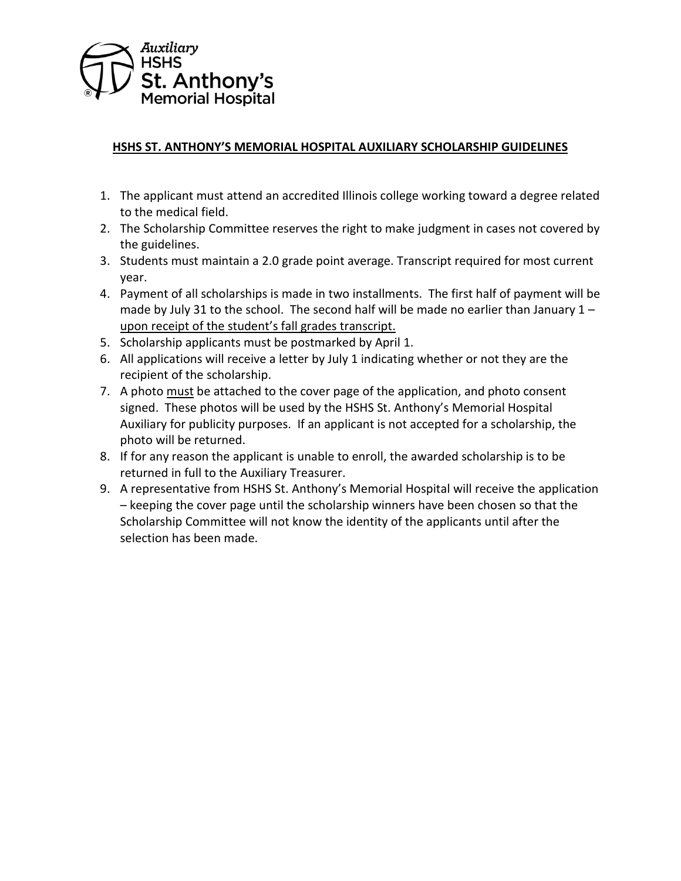

## **HSHS ST. ANTHONY'S MEMORIAL HOSPITAL AUXILIARY SCHOLARSHIP GUIDELINES**

- 1. The applicant must attend an accredited Illinois college working toward a degree related to the medical field.
- 2. The Scholarship Committee reserves the right to make judgment in cases not covered by the guidelines.
- 3. Students must maintain a 2.0 grade point average. Transcript required for most current year.
- 4. Payment of all scholarships is made in two installments. The first half of payment will be made by July 31 to the school. The second half will be made no earlier than January  $1$ upon receipt of the student's fall grades transcript.
- 5. Scholarship applicants must be postmarked by April 1.
- 6. All applications will receive a letter by July 1 indicating whether or not they are the recipient of the scholarship.
- 7. A photo must be attached to the cover page of the application, and photo consent signed. These photos will be used by the HSHS St. Anthony's Memorial Hospital Auxiliary for publicity purposes. If an applicant is not accepted for a scholarship, the photo will be returned.
- 8. If for any reason the applicant is unable to enroll, the awarded scholarship is to be returned in full to the Auxiliary Treasurer.
- 9. A representative from HSHS St. Anthony's Memorial Hospital will receive the application – keeping the cover page until the scholarship winners have been chosen so that the Scholarship Committee will not know the identity of the applicants until after the selection has been made.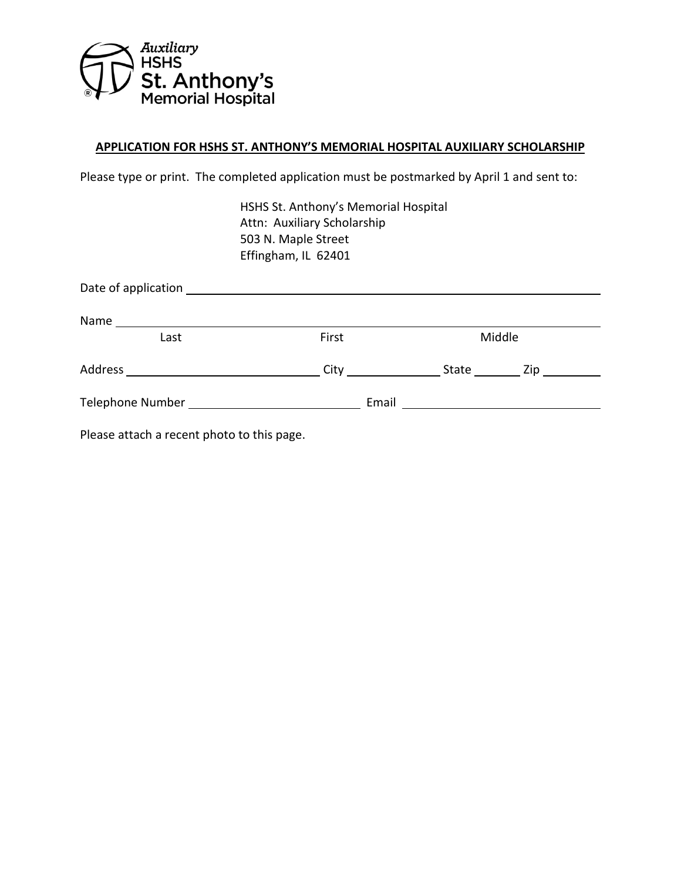

## **APPLICATION FOR HSHS ST. ANTHONY'S MEMORIAL HOSPITAL AUXILIARY SCHOLARSHIP**

Please type or print. The completed application must be postmarked by April 1 and sent to:

HSHS St. Anthony's Memorial Hospital Attn: Auxiliary Scholarship 503 N. Maple Street Effingham, IL 62401

| Name<br><u> 1989 - Johann Barnett, fransk politik (d. 1989)</u>                                                |       |                                   |  |
|----------------------------------------------------------------------------------------------------------------|-------|-----------------------------------|--|
| Last                                                                                                           | First | Middle                            |  |
|                                                                                                                |       | State ___________ Zip ___________ |  |
| Telephone Number and the control of the control of the control of the control of the control of the control of |       |                                   |  |
| 그는 그 그는 어디에 들어 들어 보니 그 사람들을 지나 않았다.                                                                            |       |                                   |  |

Please attach a recent photo to this page.